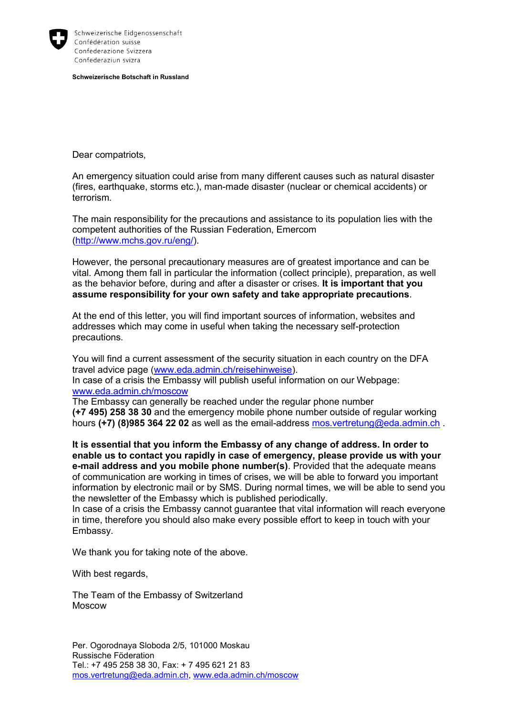

Schweizerische Eidgenossenschaft Confédération suisse Confederazione Svizzera Confederaziun svizra

**Schweizerische Botschaft in Russland**

Dear compatriots,

An emergency situation could arise from many different causes such as natural disaster (fires, earthquake, storms etc.), man-made disaster (nuclear or chemical accidents) or terrorism.

The main responsibility for the precautions and assistance to its population lies with the competent authorities of the Russian Federation, Emercom [\(http://www.mchs.gov.ru/eng/\)](http://www.mchs.gov.ru/eng/).

However, the personal precautionary measures are of greatest importance and can be vital. Among them fall in particular the information (collect principle), preparation, as well as the behavior before, during and after a disaster or crises. **It is important that you assume responsibility for your own safety and take appropriate precautions**.

At the end of this letter, you will find important sources of information, websites and addresses which may come in useful when taking the necessary self-protection precautions.

You will find a current assessment of the security situation in each country on the DFA travel advice page [\(www.eda.admin.ch/reisehinweise\)](http://www.eda.admin.ch/reisehinweise).

In case of a crisis the Embassy will publish useful information on our Webpage: [www.eda.admin.ch/moscow](http://www.eda.admin.ch/moscow)

The Embassy can generally be reached under the regular phone number **(+7 495) 258 38 30** and the emergency mobile phone number outside of regular working hours **(+7) (8)985 364 22 02** as well as the email-address [mos.vertretung@eda.admin.ch](mailto:mos.vertretung@eda.admin.ch) .

**It is essential that you inform the Embassy of any change of address. In order to enable us to contact you rapidly in case of emergency, please provide us with your e-mail address and you mobile phone number(s)**. Provided that the adequate means of communication are working in times of crises, we will be able to forward you important information by electronic mail or by SMS. During normal times, we will be able to send you the newsletter of the Embassy which is published periodically.

In case of a crisis the Embassy cannot guarantee that vital information will reach everyone in time, therefore you should also make every possible effort to keep in touch with your Embassy.

We thank you for taking note of the above.

With best regards,

The Team of the Embassy of Switzerland Moscow